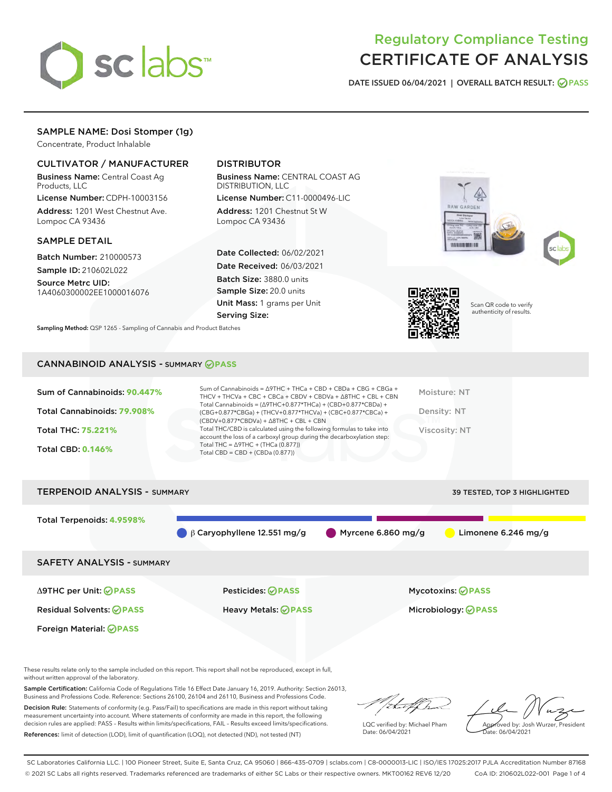

# Regulatory Compliance Testing CERTIFICATE OF ANALYSIS

DATE ISSUED 06/04/2021 | OVERALL BATCH RESULT: @ PASS

# SAMPLE NAME: Dosi Stomper (1g)

Concentrate, Product Inhalable

# CULTIVATOR / MANUFACTURER

Business Name: Central Coast Ag Products, LLC

License Number: CDPH-10003156 Address: 1201 West Chestnut Ave. Lompoc CA 93436

#### SAMPLE DETAIL

Batch Number: 210000573 Sample ID: 210602L022

Source Metrc UID: 1A4060300002EE1000016076

# DISTRIBUTOR

Business Name: CENTRAL COAST AG DISTRIBUTION, LLC

License Number: C11-0000496-LIC Address: 1201 Chestnut St W Lompoc CA 93436

Date Collected: 06/02/2021 Date Received: 06/03/2021 Batch Size: 3880.0 units Sample Size: 20.0 units Unit Mass: 1 grams per Unit Serving Size:







Scan QR code to verify authenticity of results.

Sampling Method: QSP 1265 - Sampling of Cannabis and Product Batches

#### CANNABINOID ANALYSIS - SUMMARY **PASS**



These results relate only to the sample included on this report. This report shall not be reproduced, except in full, without written approval of the laboratory.

Sample Certification: California Code of Regulations Title 16 Effect Date January 16, 2019. Authority: Section 26013, Business and Professions Code. Reference: Sections 26100, 26104 and 26110, Business and Professions Code.

Decision Rule: Statements of conformity (e.g. Pass/Fail) to specifications are made in this report without taking measurement uncertainty into account. Where statements of conformity are made in this report, the following decision rules are applied: PASS – Results within limits/specifications, FAIL – Results exceed limits/specifications. References: limit of detection (LOD), limit of quantification (LOQ), not detected (ND), not tested (NT)

:Hatf Is

LQC verified by: Michael Pham Date: 06/04/2021

Approved by: Josh Wurzer, President ate: 06/04/2021

SC Laboratories California LLC. | 100 Pioneer Street, Suite E, Santa Cruz, CA 95060 | 866-435-0709 | sclabs.com | C8-0000013-LIC | ISO/IES 17025:2017 PJLA Accreditation Number 87168 © 2021 SC Labs all rights reserved. Trademarks referenced are trademarks of either SC Labs or their respective owners. MKT00162 REV6 12/20 CoA ID: 210602L022-001 Page 1 of 4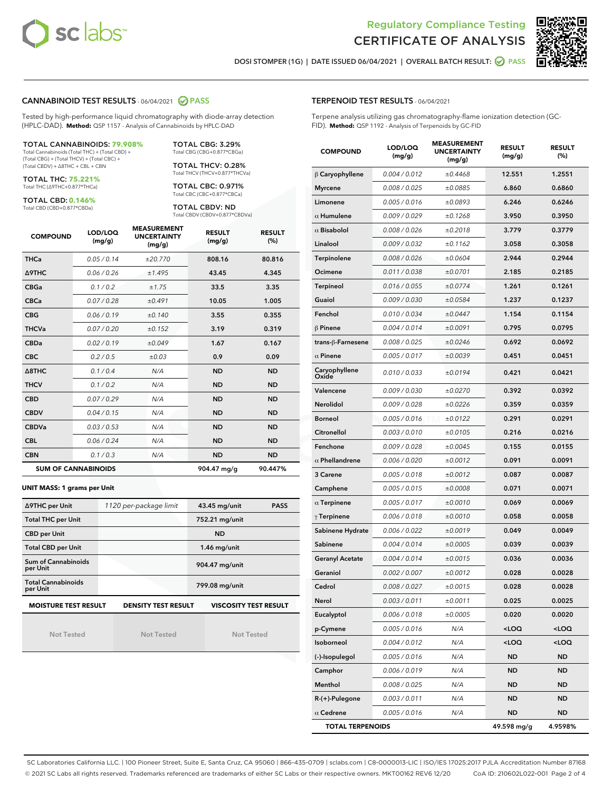



DOSI STOMPER (1G) | DATE ISSUED 06/04/2021 | OVERALL BATCH RESULT: **○** PASS

#### CANNABINOID TEST RESULTS - 06/04/2021 2 PASS

Tested by high-performance liquid chromatography with diode-array detection (HPLC-DAD). **Method:** QSP 1157 - Analysis of Cannabinoids by HPLC-DAD

#### TOTAL CANNABINOIDS: **79.908%** Total Cannabinoids (Total THC) + (Total CBD) +

(Total CBG) + (Total THCV) + (Total CBC) + (Total CBDV) + ∆8THC + CBL + CBN

TOTAL THC: **75.221%** Total THC (∆9THC+0.877\*THCa)

TOTAL CBD: **0.146%**

Total CBD (CBD+0.877\*CBDa)

TOTAL CBG: 3.29% Total CBG (CBG+0.877\*CBGa)

TOTAL THCV: 0.28% Total THCV (THCV+0.877\*THCVa)

TOTAL CBC: 0.971% Total CBC (CBC+0.877\*CBCa)

TOTAL CBDV: ND Total CBDV (CBDV+0.877\*CBDVa)

| <b>COMPOUND</b>  | LOD/LOQ<br>(mg/g)          | <b>MEASUREMENT</b><br><b>UNCERTAINTY</b><br>(mg/g) | <b>RESULT</b><br>(mg/g) | <b>RESULT</b><br>(%) |
|------------------|----------------------------|----------------------------------------------------|-------------------------|----------------------|
| <b>THCa</b>      | 0.05 / 0.14                | ±20.770                                            | 808.16                  | 80.816               |
| <b>A9THC</b>     | 0.06 / 0.26                | ±1.495                                             | 43.45                   | 4.345                |
| <b>CBGa</b>      | 0.1 / 0.2                  | ±1.75                                              | 33.5                    | 3.35                 |
| <b>CBCa</b>      | 0.07/0.28                  | ±0.491                                             | 10.05                   | 1.005                |
| <b>CBG</b>       | 0.06/0.19                  | ±0.140                                             | 3.55                    | 0.355                |
| <b>THCVa</b>     | 0.07/0.20                  | ±0.152                                             | 3.19                    | 0.319                |
| <b>CBDa</b>      | 0.02/0.19                  | ±0.049                                             | 1.67                    | 0.167                |
| <b>CBC</b>       | 0.2 / 0.5                  | ±0.03                                              | 0.9                     | 0.09                 |
| $\triangle$ 8THC | 0.1/0.4                    | N/A                                                | <b>ND</b>               | <b>ND</b>            |
| <b>THCV</b>      | 0.1/0.2                    | N/A                                                | <b>ND</b>               | <b>ND</b>            |
| <b>CBD</b>       | 0.07/0.29                  | N/A                                                | <b>ND</b>               | <b>ND</b>            |
| <b>CBDV</b>      | 0.04 / 0.15                | N/A                                                | <b>ND</b>               | <b>ND</b>            |
| <b>CBDVa</b>     | 0.03/0.53                  | N/A                                                | <b>ND</b>               | <b>ND</b>            |
| <b>CBL</b>       | 0.06 / 0.24                | N/A                                                | <b>ND</b>               | <b>ND</b>            |
| <b>CBN</b>       | 0.1/0.3                    | N/A                                                | <b>ND</b>               | <b>ND</b>            |
|                  | <b>SUM OF CANNABINOIDS</b> |                                                    | 904.47 mg/g             | 90.447%              |

#### **UNIT MASS: 1 grams per Unit**

| ∆9THC per Unit                                                                            | 1120 per-package limit | 43.45 mg/unit<br><b>PASS</b> |  |  |  |
|-------------------------------------------------------------------------------------------|------------------------|------------------------------|--|--|--|
| <b>Total THC per Unit</b>                                                                 |                        | 752.21 mg/unit               |  |  |  |
| <b>CBD per Unit</b>                                                                       |                        | <b>ND</b>                    |  |  |  |
| <b>Total CBD per Unit</b>                                                                 |                        | 1.46 mg/unit                 |  |  |  |
| Sum of Cannabinoids<br>per Unit                                                           |                        | 904.47 mg/unit               |  |  |  |
| <b>Total Cannabinoids</b><br>per Unit                                                     |                        | 799.08 mg/unit               |  |  |  |
| <b>VISCOSITY TEST RESULT</b><br><b>MOISTURE TEST RESULT</b><br><b>DENSITY TEST RESULT</b> |                        |                              |  |  |  |

Not Tested

Not Tested

Not Tested

| <b>TERPENOID TEST RESULTS - 06/04/2021</b> |  |  |
|--------------------------------------------|--|--|
|--------------------------------------------|--|--|

Terpene analysis utilizing gas chromatography-flame ionization detection (GC-FID). **Method:** QSP 1192 - Analysis of Terpenoids by GC-FID

| <b>COMPOUND</b>         | LOD/LOQ<br>(mg/g) | <b>MEASUREMENT</b><br><b>UNCERTAINTY</b><br>(mg/g) | <b>RESULT</b><br>(mg/g)                         | <b>RESULT</b><br>$(\%)$ |
|-------------------------|-------------------|----------------------------------------------------|-------------------------------------------------|-------------------------|
| $\beta$ Caryophyllene   | 0.004 / 0.012     | ±0.4468                                            | 12.551                                          | 1.2551                  |
| <b>Myrcene</b>          | 0.008 / 0.025     | ±0.0885                                            | 6.860                                           | 0.6860                  |
| Limonene                | 0.005 / 0.016     | ±0.0893                                            | 6.246                                           | 0.6246                  |
| $\alpha$ Humulene       | 0.009/0.029       | ±0.1268                                            | 3.950                                           | 0.3950                  |
| $\alpha$ Bisabolol      | 0.008 / 0.026     | ±0.2018                                            | 3.779                                           | 0.3779                  |
| Linalool                | 0.009 / 0.032     | ±0.1162                                            | 3.058                                           | 0.3058                  |
| Terpinolene             | 0.008 / 0.026     | ±0.0604                                            | 2.944                                           | 0.2944                  |
| Ocimene                 | 0.011 / 0.038     | ±0.0701                                            | 2.185                                           | 0.2185                  |
| <b>Terpineol</b>        | 0.016 / 0.055     | ±0.0774                                            | 1.261                                           | 0.1261                  |
| Guaiol                  | 0.009 / 0.030     | ±0.0584                                            | 1.237                                           | 0.1237                  |
| Fenchol                 | 0.010 / 0.034     | ±0.0447                                            | 1.154                                           | 0.1154                  |
| $\beta$ Pinene          | 0.004 / 0.014     | ±0.0091                                            | 0.795                                           | 0.0795                  |
| trans-ß-Farnesene       | 0.008 / 0.025     | ±0.0246                                            | 0.692                                           | 0.0692                  |
| $\alpha$ Pinene         | 0.005 / 0.017     | ±0.0039                                            | 0.451                                           | 0.0451                  |
| Caryophyllene<br>Oxide  | 0.010 / 0.033     | ±0.0194                                            | 0.421                                           | 0.0421                  |
| Valencene               | 0.009 / 0.030     | ±0.0270                                            | 0.392                                           | 0.0392                  |
| Nerolidol               | 0.009 / 0.028     | ±0.0226                                            | 0.359                                           | 0.0359                  |
| <b>Borneol</b>          | 0.005 / 0.016     | ±0.0122                                            | 0.291                                           | 0.0291                  |
| Citronellol             | 0.003 / 0.010     | ±0.0105                                            | 0.216                                           | 0.0216                  |
| Fenchone                | 0.009 / 0.028     | ±0.0045                                            | 0.155                                           | 0.0155                  |
| $\alpha$ Phellandrene   | 0.006 / 0.020     | ±0.0012                                            | 0.091                                           | 0.0091                  |
| 3 Carene                | 0.005 / 0.018     | ±0.0012                                            | 0.087                                           | 0.0087                  |
| Camphene                | 0.005 / 0.015     | ±0.0008                                            | 0.071                                           | 0.0071                  |
| $\alpha$ Terpinene      | 0.005 / 0.017     | ±0.0010                                            | 0.069                                           | 0.0069                  |
| $\gamma$ Terpinene      | 0.006 / 0.018     | ±0.0010                                            | 0.058                                           | 0.0058                  |
| Sabinene Hydrate        | 0.006 / 0.022     | ±0.0019                                            | 0.049                                           | 0.0049                  |
| Sabinene                | 0.004 / 0.014     | ±0.0005                                            | 0.039                                           | 0.0039                  |
| <b>Geranyl Acetate</b>  | 0.004 / 0.014     | ±0.0015                                            | 0.036                                           | 0.0036                  |
| Geraniol                | 0.002 / 0.007     | ±0.0012                                            | 0.028                                           | 0.0028                  |
| Cedrol                  | 0.008 / 0.027     | ±0.0015                                            | 0.028                                           | 0.0028                  |
| Nerol                   | 0.003 / 0.011     | ±0.0011                                            | 0.025                                           | 0.0025                  |
| Eucalyptol              | 0.006 / 0.018     | ±0.0005                                            | 0.020                                           | 0.0020                  |
| p-Cymene                | 0.005 / 0.016     | N/A                                                | <loq< th=""><th><loq< th=""></loq<></th></loq<> | <loq< th=""></loq<>     |
| Isoborneol              | 0.004 / 0.012     | N/A                                                | <loq< th=""><th><loq< th=""></loq<></th></loq<> | <loq< th=""></loq<>     |
| (-)-Isopulegol          | 0.005 / 0.016     | N/A                                                | ND                                              | ND                      |
| Camphor                 | 0.006 / 0.019     | N/A                                                | ND                                              | ND                      |
| Menthol                 | 0.008 / 0.025     | N/A                                                | ND                                              | ND                      |
| R-(+)-Pulegone          | 0.003 / 0.011     | N/A                                                | ND                                              | ND                      |
| $\alpha$ Cedrene        | 0.005 / 0.016     | N/A                                                | <b>ND</b>                                       | <b>ND</b>               |
| <b>TOTAL TERPENOIDS</b> |                   |                                                    | 49.598 mg/g                                     | 4.9598%                 |

SC Laboratories California LLC. | 100 Pioneer Street, Suite E, Santa Cruz, CA 95060 | 866-435-0709 | sclabs.com | C8-0000013-LIC | ISO/IES 17025:2017 PJLA Accreditation Number 87168 © 2021 SC Labs all rights reserved. Trademarks referenced are trademarks of either SC Labs or their respective owners. MKT00162 REV6 12/20 CoA ID: 210602L022-001 Page 2 of 4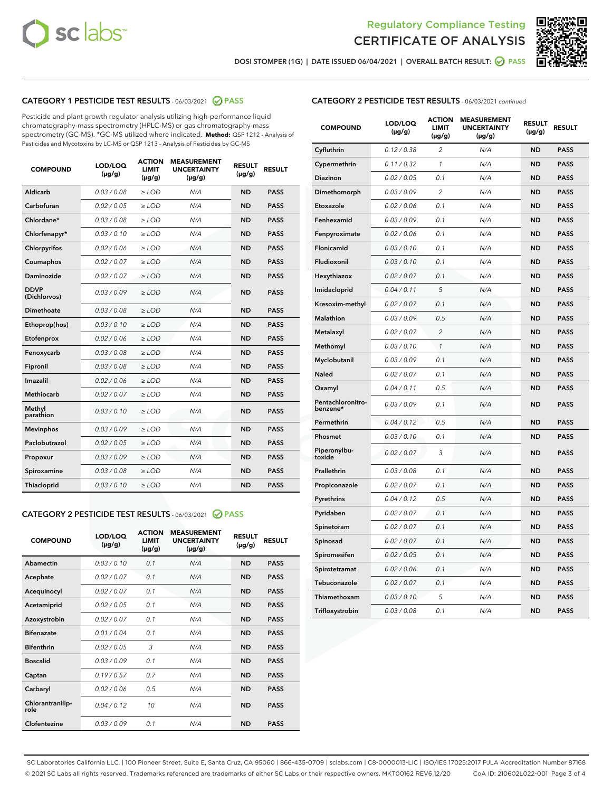



DOSI STOMPER (1G) | DATE ISSUED 06/04/2021 | OVERALL BATCH RESULT: @ PASS

# CATEGORY 1 PESTICIDE TEST RESULTS - 06/03/2021 2 PASS

Pesticide and plant growth regulator analysis utilizing high-performance liquid chromatography-mass spectrometry (HPLC-MS) or gas chromatography-mass spectrometry (GC-MS). \*GC-MS utilized where indicated. **Method:** QSP 1212 - Analysis of Pesticides and Mycotoxins by LC-MS or QSP 1213 - Analysis of Pesticides by GC-MS

| <b>COMPOUND</b>             | LOD/LOQ<br>$(\mu g/g)$ | <b>ACTION</b><br><b>LIMIT</b><br>$(\mu g/g)$ | <b>MEASUREMENT</b><br><b>UNCERTAINTY</b><br>$(\mu g/g)$ | <b>RESULT</b><br>$(\mu g/g)$ | <b>RESULT</b> |
|-----------------------------|------------------------|----------------------------------------------|---------------------------------------------------------|------------------------------|---------------|
| Aldicarb                    | 0.03 / 0.08            | $\ge$ LOD                                    | N/A                                                     | <b>ND</b>                    | <b>PASS</b>   |
| Carbofuran                  | 0.02/0.05              | $>$ LOD                                      | N/A                                                     | <b>ND</b>                    | <b>PASS</b>   |
| Chlordane*                  | 0.03 / 0.08            | $\ge$ LOD                                    | N/A                                                     | <b>ND</b>                    | <b>PASS</b>   |
| Chlorfenapyr*               | 0.03/0.10              | $>$ LOD                                      | N/A                                                     | <b>ND</b>                    | <b>PASS</b>   |
| Chlorpyrifos                | 0.02 / 0.06            | $\ge$ LOD                                    | N/A                                                     | <b>ND</b>                    | <b>PASS</b>   |
| Coumaphos                   | 0.02 / 0.07            | $\ge$ LOD                                    | N/A                                                     | <b>ND</b>                    | <b>PASS</b>   |
| Daminozide                  | 0.02 / 0.07            | $\ge$ LOD                                    | N/A                                                     | <b>ND</b>                    | <b>PASS</b>   |
| <b>DDVP</b><br>(Dichlorvos) | 0.03/0.09              | $\ge$ LOD                                    | N/A                                                     | <b>ND</b>                    | <b>PASS</b>   |
| Dimethoate                  | 0.03/0.08              | $>$ LOD                                      | N/A                                                     | <b>ND</b>                    | <b>PASS</b>   |
| Ethoprop(hos)               | 0.03/0.10              | $\ge$ LOD                                    | N/A                                                     | <b>ND</b>                    | <b>PASS</b>   |
| Etofenprox                  | 0.02 / 0.06            | $\ge$ LOD                                    | N/A                                                     | <b>ND</b>                    | <b>PASS</b>   |
| Fenoxycarb                  | 0.03 / 0.08            | $\ge$ LOD                                    | N/A                                                     | <b>ND</b>                    | <b>PASS</b>   |
| Fipronil                    | 0.03/0.08              | $>$ LOD                                      | N/A                                                     | <b>ND</b>                    | <b>PASS</b>   |
| Imazalil                    | 0.02 / 0.06            | $\ge$ LOD                                    | N/A                                                     | <b>ND</b>                    | <b>PASS</b>   |
| Methiocarb                  | 0.02 / 0.07            | $\ge$ LOD                                    | N/A                                                     | <b>ND</b>                    | <b>PASS</b>   |
| Methyl<br>parathion         | 0.03/0.10              | $\ge$ LOD                                    | N/A                                                     | <b>ND</b>                    | <b>PASS</b>   |
| <b>Mevinphos</b>            | 0.03/0.09              | $>$ LOD                                      | N/A                                                     | <b>ND</b>                    | <b>PASS</b>   |
| Paclobutrazol               | 0.02 / 0.05            | $\ge$ LOD                                    | N/A                                                     | <b>ND</b>                    | <b>PASS</b>   |
| Propoxur                    | 0.03/0.09              | $\ge$ LOD                                    | N/A                                                     | <b>ND</b>                    | <b>PASS</b>   |
| Spiroxamine                 | 0.03 / 0.08            | $\ge$ LOD                                    | N/A                                                     | <b>ND</b>                    | <b>PASS</b>   |
| Thiacloprid                 | 0.03/0.10              | $\ge$ LOD                                    | N/A                                                     | <b>ND</b>                    | <b>PASS</b>   |

#### CATEGORY 2 PESTICIDE TEST RESULTS - 06/03/2021 @ PASS

| <b>COMPOUND</b>          | LOD/LOQ<br>$(\mu g/g)$ | <b>ACTION</b><br><b>LIMIT</b><br>$(\mu g/g)$ | <b>MEASUREMENT</b><br><b>UNCERTAINTY</b><br>$(\mu g/g)$ | <b>RESULT</b><br>$(\mu g/g)$ | <b>RESULT</b> |
|--------------------------|------------------------|----------------------------------------------|---------------------------------------------------------|------------------------------|---------------|
| Abamectin                | 0.03/0.10              | 0.1                                          | N/A                                                     | <b>ND</b>                    | <b>PASS</b>   |
| Acephate                 | 0.02/0.07              | 0.1                                          | N/A                                                     | <b>ND</b>                    | <b>PASS</b>   |
| Acequinocyl              | 0.02/0.07              | 0.1                                          | N/A                                                     | <b>ND</b>                    | <b>PASS</b>   |
| Acetamiprid              | 0.02/0.05              | 0.1                                          | N/A                                                     | <b>ND</b>                    | <b>PASS</b>   |
| Azoxystrobin             | 0.02/0.07              | 0.1                                          | N/A                                                     | <b>ND</b>                    | <b>PASS</b>   |
| <b>Bifenazate</b>        | 0.01/0.04              | 0.1                                          | N/A                                                     | <b>ND</b>                    | <b>PASS</b>   |
| <b>Bifenthrin</b>        | 0.02 / 0.05            | 3                                            | N/A                                                     | <b>ND</b>                    | <b>PASS</b>   |
| <b>Boscalid</b>          | 0.03/0.09              | 0.1                                          | N/A                                                     | <b>ND</b>                    | <b>PASS</b>   |
| Captan                   | 0.19/0.57              | 0.7                                          | N/A                                                     | <b>ND</b>                    | <b>PASS</b>   |
| Carbaryl                 | 0.02/0.06              | 0.5                                          | N/A                                                     | <b>ND</b>                    | <b>PASS</b>   |
| Chlorantranilip-<br>role | 0.04/0.12              | 10                                           | N/A                                                     | <b>ND</b>                    | <b>PASS</b>   |
| Clofentezine             | 0.03/0.09              | 0.1                                          | N/A                                                     | <b>ND</b>                    | <b>PASS</b>   |

# CATEGORY 2 PESTICIDE TEST RESULTS - 06/03/2021 continued

| <b>COMPOUND</b>               | LOD/LOQ<br>(µg/g) | <b>ACTION</b><br><b>LIMIT</b><br>$(\mu g/g)$ | <b>MEASUREMENT</b><br><b>UNCERTAINTY</b><br>$(\mu g/g)$ | <b>RESULT</b><br>(µg/g) | <b>RESULT</b> |
|-------------------------------|-------------------|----------------------------------------------|---------------------------------------------------------|-------------------------|---------------|
| Cyfluthrin                    | 0.12 / 0.38       | $\overline{c}$                               | N/A                                                     | ND                      | <b>PASS</b>   |
| Cypermethrin                  | 0.11 / 0.32       | $\mathcal{I}$                                | N/A                                                     | ND                      | <b>PASS</b>   |
| Diazinon                      | 0.02 / 0.05       | 0.1                                          | N/A                                                     | <b>ND</b>               | <b>PASS</b>   |
| Dimethomorph                  | 0.03 / 0.09       | 2                                            | N/A                                                     | ND                      | <b>PASS</b>   |
| Etoxazole                     | 0.02 / 0.06       | 0.1                                          | N/A                                                     | ND                      | <b>PASS</b>   |
| Fenhexamid                    | 0.03 / 0.09       | 0.1                                          | N/A                                                     | <b>ND</b>               | <b>PASS</b>   |
| Fenpyroximate                 | 0.02 / 0.06       | 0.1                                          | N/A                                                     | ND                      | <b>PASS</b>   |
| Flonicamid                    | 0.03 / 0.10       | 0.1                                          | N/A                                                     | ND                      | <b>PASS</b>   |
| Fludioxonil                   | 0.03 / 0.10       | 0.1                                          | N/A                                                     | <b>ND</b>               | <b>PASS</b>   |
| Hexythiazox                   | 0.02 / 0.07       | 0.1                                          | N/A                                                     | <b>ND</b>               | <b>PASS</b>   |
| Imidacloprid                  | 0.04 / 0.11       | 5                                            | N/A                                                     | ND                      | <b>PASS</b>   |
| Kresoxim-methyl               | 0.02 / 0.07       | 0.1                                          | N/A                                                     | <b>ND</b>               | <b>PASS</b>   |
| Malathion                     | 0.03 / 0.09       | 0.5                                          | N/A                                                     | ND                      | <b>PASS</b>   |
| Metalaxyl                     | 0.02 / 0.07       | $\overline{c}$                               | N/A                                                     | ND                      | PASS          |
| Methomyl                      | 0.03 / 0.10       | 1                                            | N/A                                                     | <b>ND</b>               | <b>PASS</b>   |
| Myclobutanil                  | 0.03 / 0.09       | 0.1                                          | N/A                                                     | ND                      | PASS          |
| Naled                         | 0.02 / 0.07       | 0.1                                          | N/A                                                     | ND                      | PASS          |
| Oxamyl                        | 0.04 / 0.11       | 0.5                                          | N/A                                                     | ND                      | <b>PASS</b>   |
| Pentachloronitro-<br>benzene* | 0.03 / 0.09       | 0.1                                          | N/A                                                     | ND                      | PASS          |
| Permethrin                    | 0.04 / 0.12       | 0.5                                          | N/A                                                     | <b>ND</b>               | <b>PASS</b>   |
| Phosmet                       | 0.03 / 0.10       | 0.1                                          | N/A                                                     | ND                      | <b>PASS</b>   |
| Piperonylbu-<br>toxide        | 0.02 / 0.07       | 3                                            | N/A                                                     | ND                      | <b>PASS</b>   |
| Prallethrin                   | 0.03 / 0.08       | 0.1                                          | N/A                                                     | ND                      | <b>PASS</b>   |
| Propiconazole                 | 0.02 / 0.07       | 0.1                                          | N/A                                                     | ND                      | <b>PASS</b>   |
| Pyrethrins                    | 0.04 / 0.12       | 0.5                                          | N/A                                                     | <b>ND</b>               | <b>PASS</b>   |
| Pyridaben                     | 0.02 / 0.07       | 0.1                                          | N/A                                                     | ND                      | <b>PASS</b>   |
| Spinetoram                    | 0.02 / 0.07       | 0.1                                          | N/A                                                     | ND                      | PASS          |
| Spinosad                      | 0.02 / 0.07       | 0.1                                          | N/A                                                     | <b>ND</b>               | <b>PASS</b>   |
| Spiromesifen                  | 0.02 / 0.05       | 0.1                                          | N/A                                                     | ND                      | <b>PASS</b>   |
| Spirotetramat                 | 0.02 / 0.06       | 0.1                                          | N/A                                                     | ND                      | <b>PASS</b>   |
| Tebuconazole                  | 0.02 / 0.07       | 0.1                                          | N/A                                                     | ND                      | <b>PASS</b>   |
| Thiamethoxam                  | 0.03 / 0.10       | 5                                            | N/A                                                     | ND                      | <b>PASS</b>   |
| Trifloxystrobin               | 0.03 / 0.08       | 0.1                                          | N/A                                                     | <b>ND</b>               | <b>PASS</b>   |

SC Laboratories California LLC. | 100 Pioneer Street, Suite E, Santa Cruz, CA 95060 | 866-435-0709 | sclabs.com | C8-0000013-LIC | ISO/IES 17025:2017 PJLA Accreditation Number 87168 © 2021 SC Labs all rights reserved. Trademarks referenced are trademarks of either SC Labs or their respective owners. MKT00162 REV6 12/20 CoA ID: 210602L022-001 Page 3 of 4